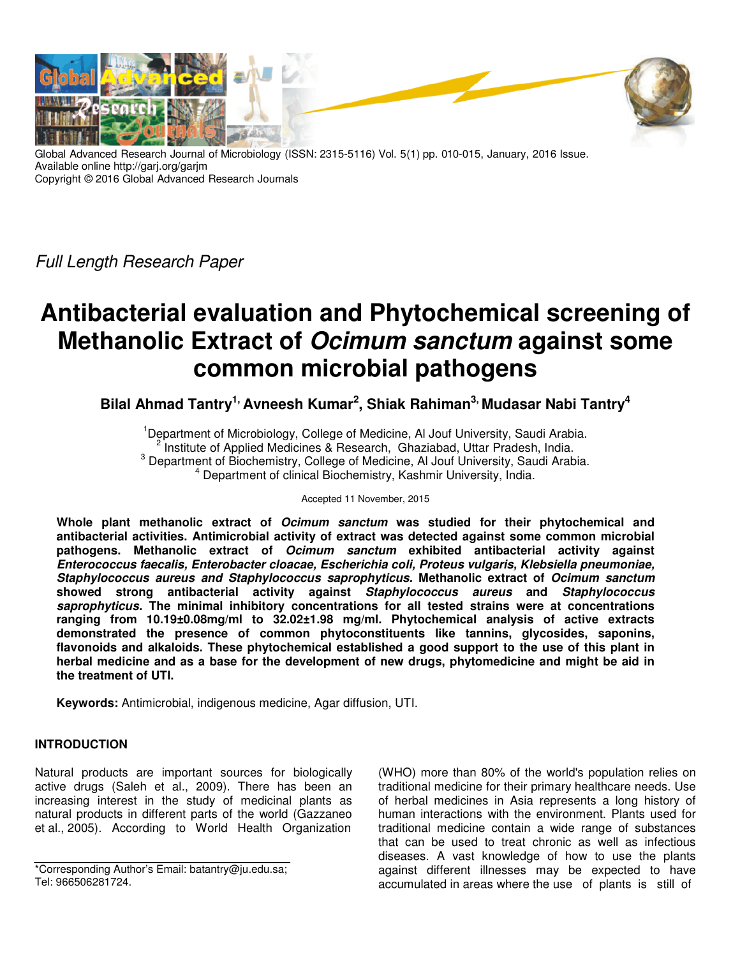

Global Advanced Research Journal of Microbiology (ISSN: 2315-5116) Vol. 5(1) pp. 010-015, January, 2016 Issue. Available online http://garj.org/garjm Copyright © 2016 Global Advanced Research Journals

Full Length Research Paper

# **Antibacterial evaluation and Phytochemical screening of Methanolic Extract of Ocimum sanctum against some common microbial pathogens**

**Bilal Ahmad Tantry1, Avneesh Kumar<sup>2</sup> , Shiak Rahiman3, Mudasar Nabi Tantry<sup>4</sup>**

<sup>1</sup>Department of Microbiology, College of Medicine, Al Jouf University, Saudi Arabia. <sup>2</sup> Institute of Applied Medicines & Research, Ghaziabad, Uttar Pradesh, India. <sup>3</sup> Department of Biochemistry, College of Medicine, Al Jouf University, Saudi Arabia. 4 Department of clinical Biochemistry, Kashmir University, India.

## Accepted 11 November, 2015

**Whole plant methanolic extract of Ocimum sanctum was studied for their phytochemical and antibacterial activities. Antimicrobial activity of extract was detected against some common microbial pathogens. Methanolic extract of Ocimum sanctum exhibited antibacterial activity against Enterococcus faecalis, Enterobacter cloacae, Escherichia coli, Proteus vulgaris, Klebsiella pneumoniae, Staphylococcus aureus and Staphylococcus saprophyticus. Methanolic extract of Ocimum sanctum showed strong antibacterial activity against Staphylococcus aureus and Staphylococcus saprophyticus. The minimal inhibitory concentrations for all tested strains were at concentrations ranging from 10.19±0.08mg/ml to 32.02±1.98 mg/ml. Phytochemical analysis of active extracts demonstrated the presence of common phytoconstituents like tannins, glycosides, saponins, flavonoids and alkaloids. These phytochemical established a good support to the use of this plant in herbal medicine and as a base for the development of new drugs, phytomedicine and might be aid in the treatment of UTI.** 

**Keywords:** Antimicrobial, indigenous medicine, Agar diffusion, UTI.

## **INTRODUCTION**

Natural products are important sources for biologically active drugs (Saleh et al., 2009). There has been an increasing interest in the study of medicinal plants as natural products in different parts of the world (Gazzaneo et al., 2005). According to World Health Organization

\*Corresponding Author's Email: batantry@ju.edu.sa; Tel: 966506281724.

(WHO) more than 80% of the world's population relies on traditional medicine for their primary healthcare needs. Use of herbal medicines in Asia represents a long history of human interactions with the environment. Plants used for traditional medicine contain a wide range of substances that can be used to treat chronic as well as infectious diseases. A vast knowledge of how to use the plants against different illnesses may be expected to have accumulated in areas where the use of plants is still of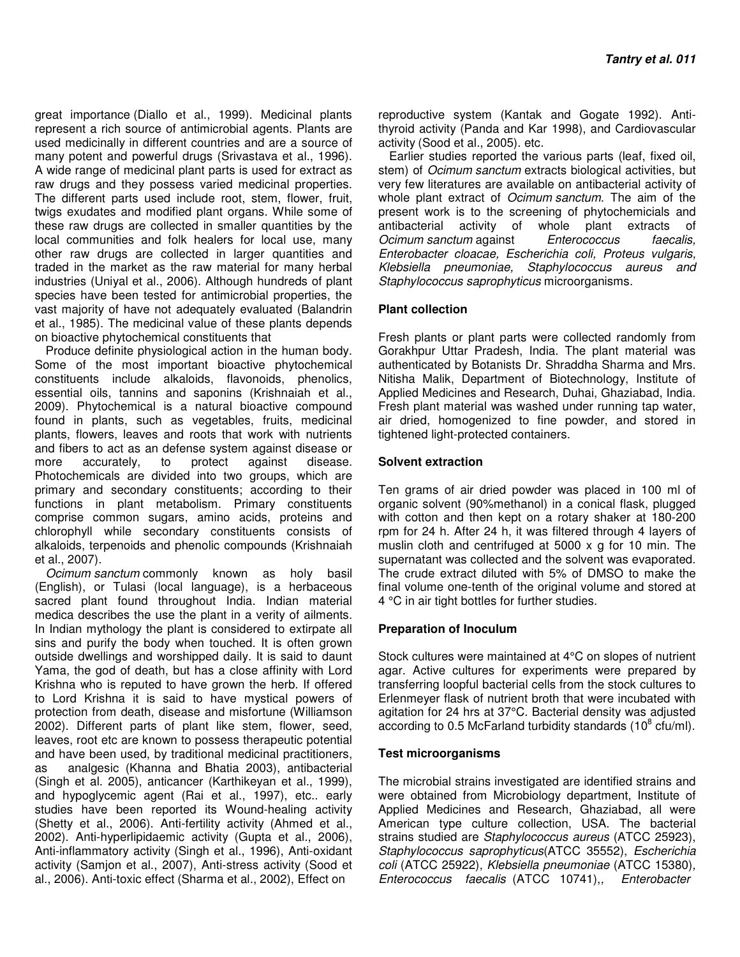great importance (Diallo et al., 1999). Medicinal plants represent a rich source of antimicrobial agents. Plants are used medicinally in different countries and are a source of many potent and powerful drugs (Srivastava et al., 1996). A wide range of medicinal plant parts is used for extract as raw drugs and they possess varied medicinal properties. The different parts used include root, stem, flower, fruit, twigs exudates and modified plant organs. While some of these raw drugs are collected in smaller quantities by the local communities and folk healers for local use, many other raw drugs are collected in larger quantities and traded in the market as the raw material for many herbal industries (Uniyal et al., 2006). Although hundreds of plant species have been tested for antimicrobial properties, the vast majority of have not adequately evaluated (Balandrin et al., 1985). The medicinal value of these plants depends on bioactive phytochemical constituents that

Produce definite physiological action in the human body. Some of the most important bioactive phytochemical constituents include alkaloids, flavonoids, phenolics, essential oils, tannins and saponins (Krishnaiah et al., 2009). Phytochemical is a natural bioactive compound found in plants, such as vegetables, fruits, medicinal plants, flowers, leaves and roots that work with nutrients and fibers to act as an defense system against disease or more accurately, to protect against disease. Photochemicals are divided into two groups, which are primary and secondary constituents; according to their functions in plant metabolism. Primary constituents comprise common sugars, amino acids, proteins and chlorophyll while secondary constituents consists of alkaloids, terpenoids and phenolic compounds (Krishnaiah et al., 2007).

Ocimum sanctum commonly known as holy basil (English), or Tulasi (local language), is a herbaceous sacred plant found throughout India. Indian material medica describes the use the plant in a verity of ailments. In Indian mythology the plant is considered to extirpate all sins and purify the body when touched. It is often grown outside dwellings and worshipped daily. It is said to daunt Yama, the god of death, but has a close affinity with Lord Krishna who is reputed to have grown the herb. If offered to Lord Krishna it is said to have mystical powers of protection from death, disease and misfortune (Williamson 2002). Different parts of plant like stem, flower, seed, leaves, root etc are known to possess therapeutic potential and have been used, by traditional medicinal practitioners, as analgesic (Khanna and Bhatia 2003), antibacterial (Singh et al. 2005), anticancer (Karthikeyan et al., 1999), and hypoglycemic agent (Rai et al., 1997), etc.. early studies have been reported its Wound-healing activity (Shetty et al., 2006). Anti-fertility activity (Ahmed et al., 2002). Anti-hyperlipidaemic activity (Gupta et al., 2006), Anti-inflammatory activity (Singh et al., 1996), Anti-oxidant activity (Samjon et al., 2007), Anti-stress activity (Sood et al., 2006). Anti-toxic effect (Sharma et al., 2002), Effect on

reproductive system (Kantak and Gogate 1992). Antithyroid activity (Panda and Kar 1998), and Cardiovascular activity (Sood et al., 2005). etc.

Earlier studies reported the various parts (leaf, fixed oil, stem) of *Ocimum sanctum* extracts biological activities, but very few literatures are available on antibacterial activity of whole plant extract of *Ocimum sanctum*. The aim of the present work is to the screening of phytochemicials and antibacterial activity of whole plant extracts of Ocimum sanctum against Enterococcus faecalis, Enterobacter cloacae, Escherichia coli, Proteus vulgaris, Klebsiella pneumoniae, Staphylococcus aureus and Staphylococcus saprophyticus microorganisms.

## **Plant collection**

Fresh plants or plant parts were collected randomly from Gorakhpur Uttar Pradesh, India. The plant material was authenticated by Botanists Dr. Shraddha Sharma and Mrs. Nitisha Malik, Department of Biotechnology, Institute of Applied Medicines and Research, Duhai, Ghaziabad, India. Fresh plant material was washed under running tap water, air dried, homogenized to fine powder, and stored in tightened light-protected containers.

#### **Solvent extraction**

Ten grams of air dried powder was placed in 100 ml of organic solvent (90%methanol) in a conical flask, plugged with cotton and then kept on a rotary shaker at 180-200 rpm for 24 h. After 24 h, it was filtered through 4 layers of muslin cloth and centrifuged at 5000 x g for 10 min. The supernatant was collected and the solvent was evaporated. The crude extract diluted with 5% of DMSO to make the final volume one-tenth of the original volume and stored at 4 °C in air tight bottles for further studies.

#### **Preparation of Inoculum**

Stock cultures were maintained at 4°C on slopes of nutrient agar. Active cultures for experiments were prepared by transferring loopful bacterial cells from the stock cultures to Erlenmeyer flask of nutrient broth that were incubated with agitation for 24 hrs at 37°C. Bacterial density was adjusted according to 0.5 McFarland turbidity standards (10 $8$  cfu/ml).

#### **Test microorganisms**

The microbial strains investigated are identified strains and were obtained from Microbiology department, Institute of Applied Medicines and Research, Ghaziabad, all were American type culture collection, USA. The bacterial strains studied are Staphylococcus aureus (ATCC 25923), Staphylococcus saprophyticus(ATCC 35552), Escherichia coli (ATCC 25922), Klebsiella pneumoniae (ATCC 15380), Enterococcus faecalis (ATCC 10741), Enterobacter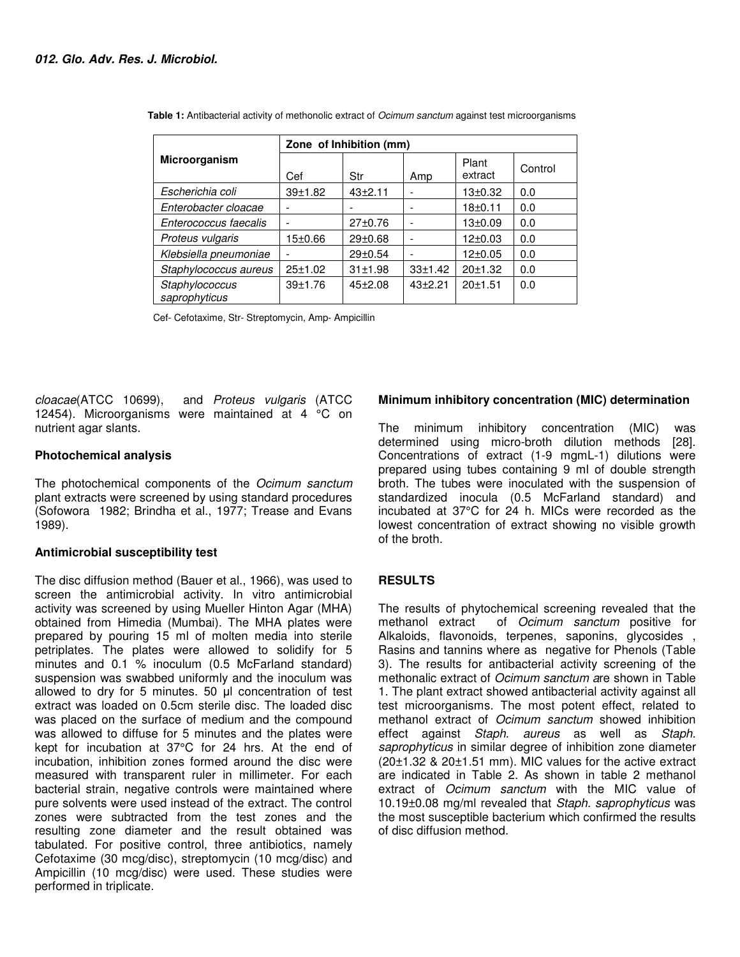|                                 | Zone of Inhibition (mm) |             |           |                  |         |
|---------------------------------|-------------------------|-------------|-----------|------------------|---------|
| Microorganism                   | Cef                     | Str         | Amp       | Plant<br>extract | Control |
| Escherichia coli                | 39±1.82                 | $43 + 2.11$ |           | $13 + 0.32$      | 0.0     |
| Enterobacter cloacae            |                         |             |           | $18 + 0.11$      | 0.0     |
| Enterococcus faecalis           |                         | 27±0.76     |           | $13 + 0.09$      | 0.0     |
| Proteus vulgaris                | 15±0.66                 | 29±0.68     |           | 12±0.03          | 0.0     |
| Klebsiella pneumoniae           |                         | 29±0.54     |           | $12+0.05$        | 0.0     |
| Staphylococcus aureus           | 25±1.02                 | 31±1.98     | 33±1.42   | 20±1.32          | 0.0     |
| Staphylococcus<br>saprophyticus | 39±1.76                 | $45+2.08$   | $43+2.21$ | 20±1.51          | 0.0     |

**Table 1:** Antibacterial activity of methonolic extract of *Ocimum sanctum* against test microorganisms

Cef- Cefotaxime, Str- Streptomycin, Amp- Ampicillin

cloacae(ATCC 10699), and Proteus vulgaris (ATCC 12454). Microorganisms were maintained at 4  $^{\circ}$ C on nutrient agar slants.

## **Photochemical analysis**

The photochemical components of the Ocimum sanctum plant extracts were screened by using standard procedures (Sofowora 1982; Brindha et al., 1977; Trease and Evans 1989).

## **Antimicrobial susceptibility test**

The disc diffusion method (Bauer et al., 1966), was used to screen the antimicrobial activity. In vitro antimicrobial activity was screened by using Mueller Hinton Agar (MHA) obtained from Himedia (Mumbai). The MHA plates were prepared by pouring 15 ml of molten media into sterile petriplates. The plates were allowed to solidify for 5 minutes and 0.1 % inoculum (0.5 McFarland standard) suspension was swabbed uniformly and the inoculum was allowed to dry for 5 minutes. 50 µl concentration of test extract was loaded on 0.5cm sterile disc. The loaded disc was placed on the surface of medium and the compound was allowed to diffuse for 5 minutes and the plates were kept for incubation at 37°C for 24 hrs. At the end of incubation, inhibition zones formed around the disc were measured with transparent ruler in millimeter. For each bacterial strain, negative controls were maintained where pure solvents were used instead of the extract. The control zones were subtracted from the test zones and the resulting zone diameter and the result obtained was tabulated. For positive control, three antibiotics, namely Cefotaxime (30 mcg/disc), streptomycin (10 mcg/disc) and Ampicillin (10 mcg/disc) were used. These studies were performed in triplicate.

## **Minimum inhibitory concentration (MIC) determination**

The minimum inhibitory concentration (MIC) was determined using micro-broth dilution methods [28]. Concentrations of extract (1-9 mgmL-1) dilutions were prepared using tubes containing 9 ml of double strength broth. The tubes were inoculated with the suspension of standardized inocula (0.5 McFarland standard) and incubated at 37°C for 24 h. MICs were recorded as the lowest concentration of extract showing no visible growth of the broth.

## **RESULTS**

The results of phytochemical screening revealed that the methanol extract of Ocimum sanctum positive for Alkaloids, flavonoids, terpenes, saponins, glycosides , Rasins and tannins where as negative for Phenols (Table 3). The results for antibacterial activity screening of the methonalic extract of Ocimum sanctum are shown in Table 1. The plant extract showed antibacterial activity against all test microorganisms. The most potent effect, related to methanol extract of Ocimum sanctum showed inhibition effect against Staph. aureus as well as Staph. saprophyticus in similar degree of inhibition zone diameter (20±1.32 & 20±1.51 mm). MIC values for the active extract are indicated in Table 2. As shown in table 2 methanol extract of Ocimum sanctum with the MIC value of 10.19±0.08 mg/ml revealed that Staph. saprophyticus was the most susceptible bacterium which confirmed the results of disc diffusion method.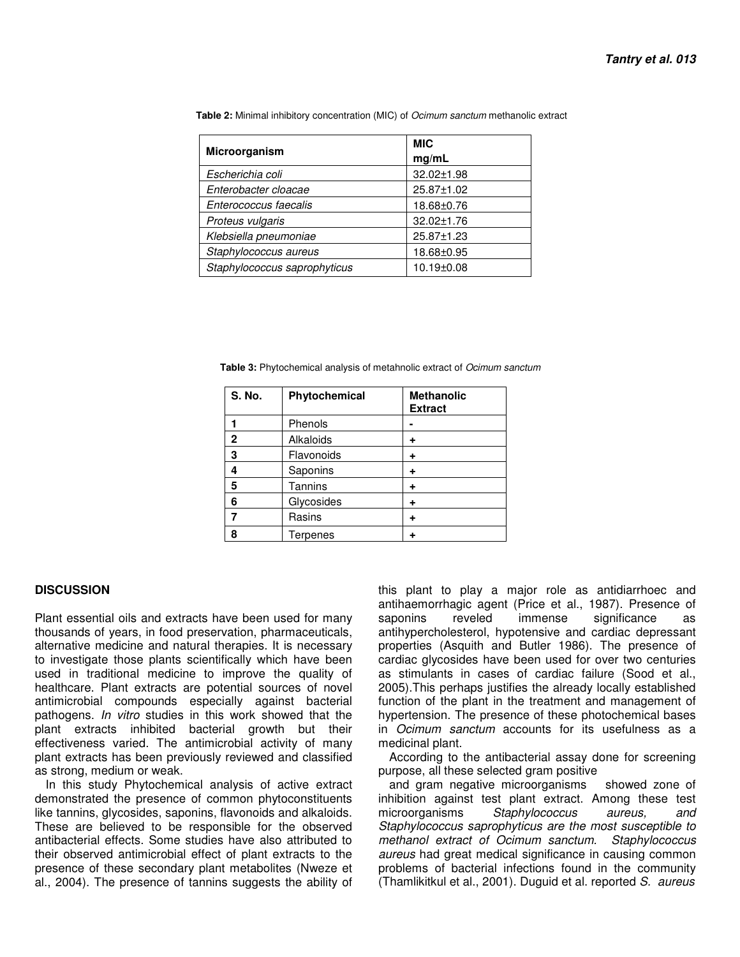| Microorganism                | <b>MIC</b><br>mg/mL |  |  |
|------------------------------|---------------------|--|--|
| Escherichia coli             | 32.02±1.98          |  |  |
| Enterobacter cloacae         | 25.87±1.02          |  |  |
| Enterococcus faecalis        | 18.68±0.76          |  |  |
| Proteus vulgaris             | 32.02±1.76          |  |  |
| Klebsiella pneumoniae        | 25.87±1.23          |  |  |
| Staphylococcus aureus        | 18.68±0.95          |  |  |
| Staphylococcus saprophyticus | 10.19±0.08          |  |  |

 **Table 2:** Minimal inhibitory concentration (MIC) of Ocimum sanctum methanolic extract

 **Table 3:** Phytochemical analysis of metahnolic extract of Ocimum sanctum

| <b>S. No.</b> | Phytochemical | <b>Methanolic</b><br><b>Extract</b> |
|---------------|---------------|-------------------------------------|
|               | Phenols       |                                     |
| $\mathbf{2}$  | Alkaloids     | ٠                                   |
| 3             | Flavonoids    | ٠                                   |
| 4             | Saponins      | ٠                                   |
| 5             | Tannins       | ٠                                   |
| 6             | Glycosides    |                                     |
|               | Rasins        |                                     |
| 8             | Terpenes      |                                     |

#### **DISCUSSION**

Plant essential oils and extracts have been used for many thousands of years, in food preservation, pharmaceuticals, alternative medicine and natural therapies. It is necessary to investigate those plants scientifically which have been used in traditional medicine to improve the quality of healthcare. Plant extracts are potential sources of novel antimicrobial compounds especially against bacterial pathogens. In vitro studies in this work showed that the plant extracts inhibited bacterial growth but their effectiveness varied. The antimicrobial activity of many plant extracts has been previously reviewed and classified as strong, medium or weak.

In this study Phytochemical analysis of active extract demonstrated the presence of common phytoconstituents like tannins, glycosides, saponins, flavonoids and alkaloids. These are believed to be responsible for the observed antibacterial effects. Some studies have also attributed to their observed antimicrobial effect of plant extracts to the presence of these secondary plant metabolites (Nweze et al., 2004). The presence of tannins suggests the ability of

this plant to play a major role as antidiarrhoec and antihaemorrhagic agent (Price et al., 1987). Presence of saponins reveled immense significance as antihypercholesterol, hypotensive and cardiac depressant properties (Asquith and Butler 1986). The presence of cardiac glycosides have been used for over two centuries as stimulants in cases of cardiac failure (Sood et al., 2005).This perhaps justifies the already locally established function of the plant in the treatment and management of hypertension. The presence of these photochemical bases in Ocimum sanctum accounts for its usefulness as a medicinal plant.

According to the antibacterial assay done for screening purpose, all these selected gram positive

and gram negative microorganisms showed zone of inhibition against test plant extract. Among these test microorganisms Staphylococcus aureus, and Staphylococcus saprophyticus are the most susceptible to methanol extract of Ocimum sanctum. Staphylococcus aureus had great medical significance in causing common problems of bacterial infections found in the community (Thamlikitkul et al., 2001). Duguid et al. reported S. aureus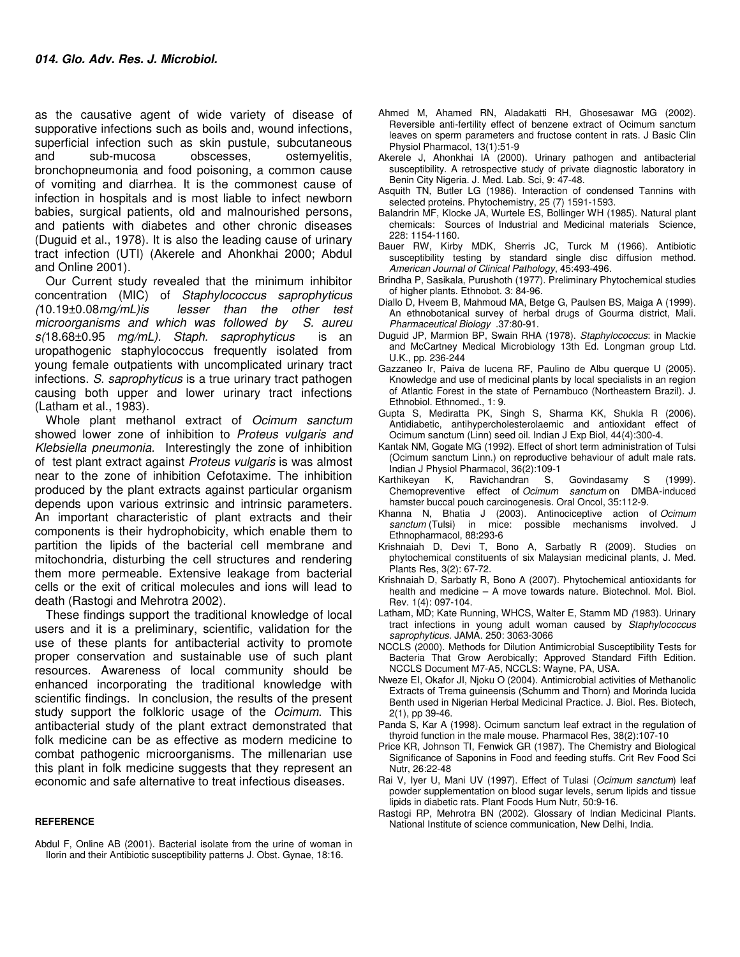as the causative agent of wide variety of disease of supporative infections such as boils and, wound infections, superficial infection such as skin pustule, subcutaneous and sub-mucosa obscesses, ostemyelitis, bronchopneumonia and food poisoning, a common cause of vomiting and diarrhea. It is the commonest cause of infection in hospitals and is most liable to infect newborn babies, surgical patients, old and malnourished persons, and patients with diabetes and other chronic diseases (Duguid et al., 1978). It is also the leading cause of urinary tract infection (UTI) (Akerele and Ahonkhai 2000; Abdul and Online 2001).

Our Current study revealed that the minimum inhibitor concentration (MIC) of Staphylococcus saprophyticus (10.19±0.08mg/mL)is lesser than the other test microorganisms and which was followed by S. aureu s(18.68±0.95 mg/mL). Staph. saprophyticus is an uropathogenic staphylococcus frequently isolated from young female outpatients with uncomplicated urinary tract infections. S. saprophyticus is a true urinary tract pathogen causing both upper and lower urinary tract infections (Latham et al., 1983).

Whole plant methanol extract of Ocimum sanctum showed lower zone of inhibition to Proteus vulgaris and Klebsiella pneumonia. Interestingly the zone of inhibition of test plant extract against Proteus vulgaris is was almost near to the zone of inhibition Cefotaxime. The inhibition produced by the plant extracts against particular organism depends upon various extrinsic and intrinsic parameters. An important characteristic of plant extracts and their components is their hydrophobicity, which enable them to partition the lipids of the bacterial cell membrane and mitochondria, disturbing the cell structures and rendering them more permeable. Extensive leakage from bacterial cells or the exit of critical molecules and ions will lead to death (Rastogi and Mehrotra 2002).

These findings support the traditional knowledge of local users and it is a preliminary, scientific, validation for the use of these plants for antibacterial activity to promote proper conservation and sustainable use of such plant resources. Awareness of local community should be enhanced incorporating the traditional knowledge with scientific findings. In conclusion, the results of the present study support the folkloric usage of the Ocimum. This antibacterial study of the plant extract demonstrated that folk medicine can be as effective as modern medicine to combat pathogenic microorganisms. The millenarian use this plant in folk medicine suggests that they represent an economic and safe alternative to treat infectious diseases.

#### **REFERENCE**

Abdul F, Online AB (2001). Bacterial isolate from the urine of woman in Ilorin and their Antibiotic susceptibility patterns J. Obst. Gynae, 18:16.

- Ahmed M, Ahamed RN, Aladakatti RH, Ghosesawar MG (2002). Reversible anti-fertility effect of benzene extract of Ocimum sanctum leaves on sperm parameters and fructose content in rats. J Basic Clin Physiol Pharmacol, 13(1):51-9
- Akerele J, Ahonkhai IA (2000). Urinary pathogen and antibacterial susceptibility. A retrospective study of private diagnostic laboratory in Benin City Nigeria. J. Med. Lab. Sci, 9: 47-48.
- Asquith TN, Butler LG (1986). Interaction of condensed Tannins with selected proteins. Phytochemistry, 25 (7) 1591-1593.
- Balandrin MF, Klocke JA, Wurtele ES, Bollinger WH (1985). Natural plant chemicals: Sources of Industrial and Medicinal materials Science, 228: 1154-1160.
- Bauer RW, Kirby MDK, Sherris JC, Turck M (1966). Antibiotic susceptibility testing by standard single disc diffusion method. American Journal of Clinical Pathology, 45:493-496.
- Brindha P, Sasikala, Purushoth (1977). Preliminary Phytochemical studies of higher plants. Ethnobot. 3: 84-96.
- Diallo D, Hveem B, Mahmoud MA, Betge G, Paulsen BS, Maiga A (1999). An ethnobotanical survey of herbal drugs of Gourma district, Mali. Pharmaceutical Biology .37:80-91.
- Duguid JP, Marmion BP, Swain RHA (1978). Staphylococcus: in Mackie and McCartney Medical Microbiology 13th Ed. Longman group Ltd. U.K., pp. 236-244
- Gazzaneo Ir, Paiva de lucena RF, Paulino de Albu querque U (2005). Knowledge and use of medicinal plants by local specialists in an region of Atlantic Forest in the state of Pernambuco (Northeastern Brazil). J. Ethnobiol. Ethnomed., 1: 9.
- Gupta S, Mediratta PK, Singh S, Sharma KK, Shukla R (2006). Antidiabetic, antihypercholesterolaemic and antioxidant effect of Ocimum sanctum (Linn) seed oil. Indian J Exp Biol, 44(4):300-4.
- Kantak NM, Gogate MG (1992). Effect of short term administration of Tulsi (Ocimum sanctum Linn.) on reproductive behaviour of adult male rats.
- Indian J Physiol Pharmacol, 36(2):109-1 K, Ravichandran S, Govindasamy S (1999). Chemopreventive effect of Ocimum sanctum on DMBA-induced hamster buccal pouch carcinogenesis. Oral Oncol, 35:112-9.
- Khanna N, Bhatia J (2003). Antinociceptive action of Ocimum sanctum (Tulsi) in mice: possible mechanisms involved. J Ethnopharmacol, 88:293-6
- Krishnaiah D, Devi T, Bono A, Sarbatly R (2009). Studies on phytochemical constituents of six Malaysian medicinal plants, J. Med. Plants Res, 3(2): 67-72.
- Krishnaiah D, Sarbatly R, Bono A (2007). Phytochemical antioxidants for health and medicine – A move towards nature. Biotechnol. Mol. Biol. Rev. 1(4): 097-104.
- Latham, MD; Kate Running, WHCS, Walter E, Stamm MD (1983). Urinary tract infections in young adult woman caused by Staphylococcus saprophyticus. JAMA. 250: 3063-3066
- NCCLS (2000). Methods for Dilution Antimicrobial Susceptibility Tests for Bacteria That Grow Aerobically; Approved Standard Fifth Edition. NCCLS Document M7-A5, NCCLS: Wayne, PA, USA.
- Nweze EI, Okafor JI, Njoku O (2004). Antimicrobial activities of Methanolic Extracts of Trema guineensis (Schumm and Thorn) and Morinda lucida Benth used in Nigerian Herbal Medicinal Practice. J. Biol. Res. Biotech, 2(1), pp 39-46.
- Panda S, Kar A (1998). Ocimum sanctum leaf extract in the regulation of thyroid function in the male mouse. Pharmacol Res, 38(2):107-10
- Price KR, Johnson TI, Fenwick GR (1987). The Chemistry and Biological Significance of Saponins in Food and feeding stuffs. Crit Rev Food Sci Nutr, 26:22-48
- Rai V, Iyer U, Mani UV (1997). Effect of Tulasi (Ocimum sanctum) leaf powder supplementation on blood sugar levels, serum lipids and tissue lipids in diabetic rats. Plant Foods Hum Nutr, 50:9-16.
- Rastogi RP, Mehrotra BN (2002). Glossary of Indian Medicinal Plants. National Institute of science communication, New Delhi, India.